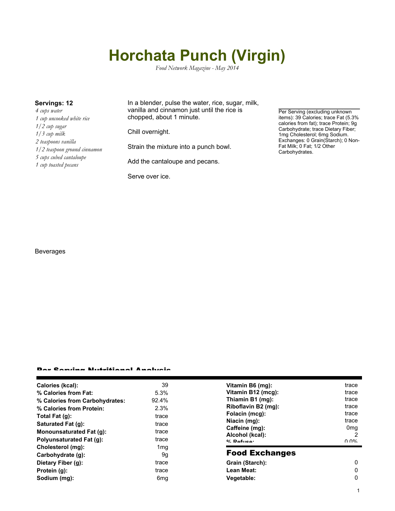# **Horchata Punch (Virgin)**

*Food Network Magazine - May 2014*

*4 cups water 1 cup uncooked white rice 1/2 cup sugar 1/3 cup milk 2 teaspoons vanilla 1/2 teaspoon ground cinnamon 5 cups cubed cantaloupe 1 cup toasted pecans*

**Servings: 12** In a blender, pulse the water, rice, sugar, milk, vanilla and cinnamon just until the rice is chopped, about 1 minute.

Chill overnight.

Strain the mixture into a punch bowl.

Add the cantaloupe and pecans.

Serve over ice.

Per Serving (excluding unknown items): 39 Calories; trace Fat (5.3% calories from fat); trace Protein; 9g Carbohydrate; trace Dietary Fiber; 1mg Cholesterol; 6mg Sodium. Exchanges: 0 Grain(Starch); 0 Non-Fat Milk; 0 Fat; 1/2 Other Carbohydrates.

Beverages

#### Per Serving Nutritional Analysis

| Calories (kcal):               | 39              | Vitamin B6 (mg):                                                    | trace           |
|--------------------------------|-----------------|---------------------------------------------------------------------|-----------------|
| % Calories from Fat:           | 5.3%            | Vitamin B12 (mcg):                                                  | trace           |
| % Calories from Carbohydrates: | 92.4%           | Thiamin B1 (mg):                                                    | trace           |
| % Calories from Protein:       | 2.3%            | Riboflavin B2 (mg):                                                 | trace           |
| Total Fat $(g)$ :              | trace           | Folacin (mcg):                                                      | trace           |
| Saturated Fat (q):             | trace           | Niacin (mg):<br>Caffeine (mg):<br>Alcohol (kcal):<br>$0/2$ Pofileon | trace           |
| Monounsaturated Fat (q):       | trace           |                                                                     | 0 <sub>mg</sub> |
| Polyunsaturated Fat (q):       | trace           |                                                                     | 2<br>በ በ%       |
| Cholesterol (mg):              | 1 <sub>mq</sub> |                                                                     |                 |
| Carbohydrate (g):              | 9g              | <b>Food Exchanges</b>                                               |                 |
| Dietary Fiber (g):             | trace           | Grain (Starch):                                                     | 0               |
| Protein (g):                   | trace           | Lean Meat:                                                          | 0               |
| Sodium (mg):                   | 6 <sub>mg</sub> | Vegetable:                                                          | 0               |